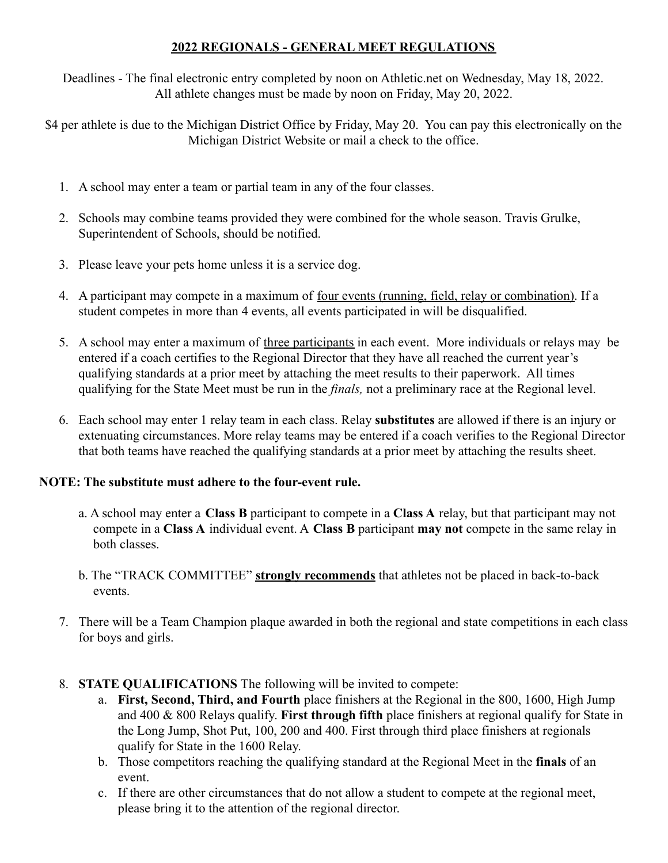# **2022 REGIONALS - GENERAL MEET REGULATIONS**

Deadlines - The final electronic entry completed by noon on Athletic.net on Wednesday, May 18, 2022. All athlete changes must be made by noon on Friday, May 20, 2022.

\$4 per athlete is due to the Michigan District Office by Friday, May 20. You can pay this electronically on the Michigan District Website or mail a check to the office.

- 1. A school may enter a team or partial team in any of the four classes.
- 2. Schools may combine teams provided they were combined for the whole season. Travis Grulke, Superintendent of Schools, should be notified.
- 3. Please leave your pets home unless it is a service dog.
- 4. A participant may compete in a maximum of four events (running, field, relay or combination). If a student competes in more than 4 events, all events participated in will be disqualified.
- 5. A school may enter a maximum of three participants in each event. More individuals or relays may be entered if a coach certifies to the Regional Director that they have all reached the current year's qualifying standards at a prior meet by attaching the meet results to their paperwork. All times qualifying for the State Meet must be run in the *finals,* not a preliminary race at the Regional level.
- 6. Each school may enter 1 relay team in each class. Relay **substitutes** are allowed if there is an injury or extenuating circumstances. More relay teams may be entered if a coach verifies to the Regional Director that both teams have reached the qualifying standards at a prior meet by attaching the results sheet.

# **NOTE: The substitute must adhere to the four-event rule.**

- a. A school may enter a **Class B** participant to compete in a **Class A** relay, but that participant may not compete in a **Class A** individual event. A **Class B** participant **may not** compete in the same relay in both classes.
- b. The "TRACK COMMITTEE" **strongly recommends** that athletes not be placed in back-to-back events.
- 7. There will be a Team Champion plaque awarded in both the regional and state competitions in each class for boys and girls.
- 8. **STATE QUALIFICATIONS** The following will be invited to compete:
	- a. **First, Second, Third, and Fourth** place finishers at the Regional in the 800, 1600, High Jump and 400 & 800 Relays qualify. **First through fifth** place finishers at regional qualify for State in the Long Jump, Shot Put, 100, 200 and 400. First through third place finishers at regionals qualify for State in the 1600 Relay.
	- b. Those competitors reaching the qualifying standard at the Regional Meet in the **finals** of an event.
	- c. If there are other circumstances that do not allow a student to compete at the regional meet, please bring it to the attention of the regional director.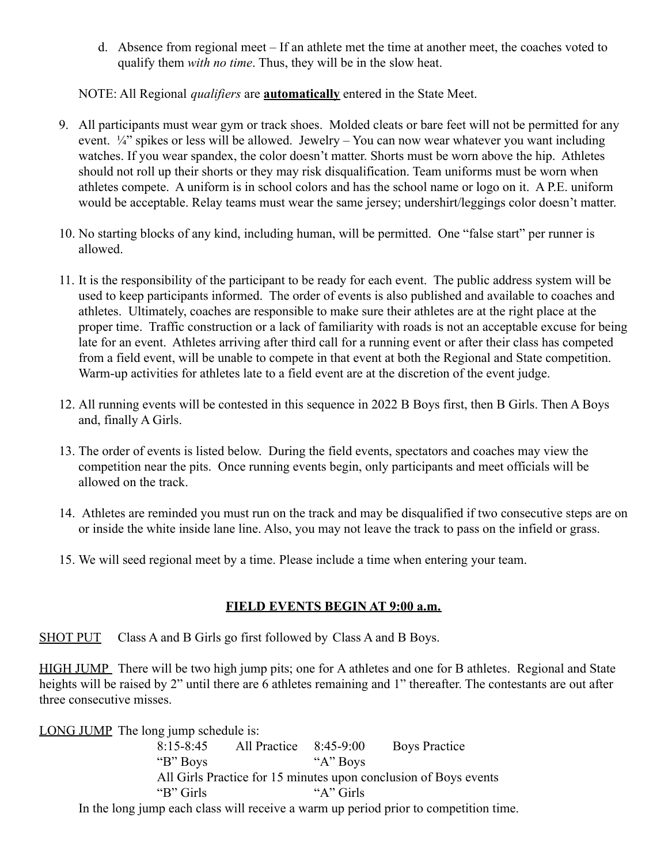d. Absence from regional meet – If an athlete met the time at another meet, the coaches voted to qualify them *with no time*. Thus, they will be in the slow heat.

NOTE: All Regional *qualifiers* are **automatically** entered in the State Meet.

- 9. All participants must wear gym or track shoes. Molded cleats or bare feet will not be permitted for any event.  $\frac{1}{4}$  spikes or less will be allowed. Jewelry – You can now wear whatever you want including watches. If you wear spandex, the color doesn't matter. Shorts must be worn above the hip. Athletes should not roll up their shorts or they may risk disqualification. Team uniforms must be worn when athletes compete. A uniform is in school colors and has the school name or logo on it. A P.E. uniform would be acceptable. Relay teams must wear the same jersey; undershirt/leggings color doesn't matter.
- 10. No starting blocks of any kind, including human, will be permitted. One "false start" per runner is allowed.
- 11. It is the responsibility of the participant to be ready for each event. The public address system will be used to keep participants informed. The order of events is also published and available to coaches and athletes. Ultimately, coaches are responsible to make sure their athletes are at the right place at the proper time. Traffic construction or a lack of familiarity with roads is not an acceptable excuse for being late for an event. Athletes arriving after third call for a running event or after their class has competed from a field event, will be unable to compete in that event at both the Regional and State competition. Warm-up activities for athletes late to a field event are at the discretion of the event judge.
- 12. All running events will be contested in this sequence in 2022 B Boys first, then B Girls. Then A Boys and, finally A Girls.
- 13. The order of events is listed below. During the field events, spectators and coaches may view the competition near the pits. Once running events begin, only participants and meet officials will be allowed on the track.
- 14. Athletes are reminded you must run on the track and may be disqualified if two consecutive steps are on or inside the white inside lane line. Also, you may not leave the track to pass on the infield or grass.
- 15. We will seed regional meet by a time. Please include a time when entering your team.

### **FIELD EVENTS BEGIN AT 9:00 a.m.**

SHOT PUT Class A and B Girls go first followed by Class A and B Boys.

HIGH JUMP There will be two high jump pits; one for A athletes and one for B athletes. Regional and State heights will be raised by 2" until there are 6 athletes remaining and 1" thereafter. The contestants are out after three consecutive misses.

LONG JUMP The long jump schedule is:

8:15-8:45 All Practice 8:45-9:00 Boys Practice "B" Boys "A" Boys All Girls Practice for 15 minutes upon conclusion of Boys events "B" Girls "A" Girls In the long jump each class will receive a warm up period prior to competition time.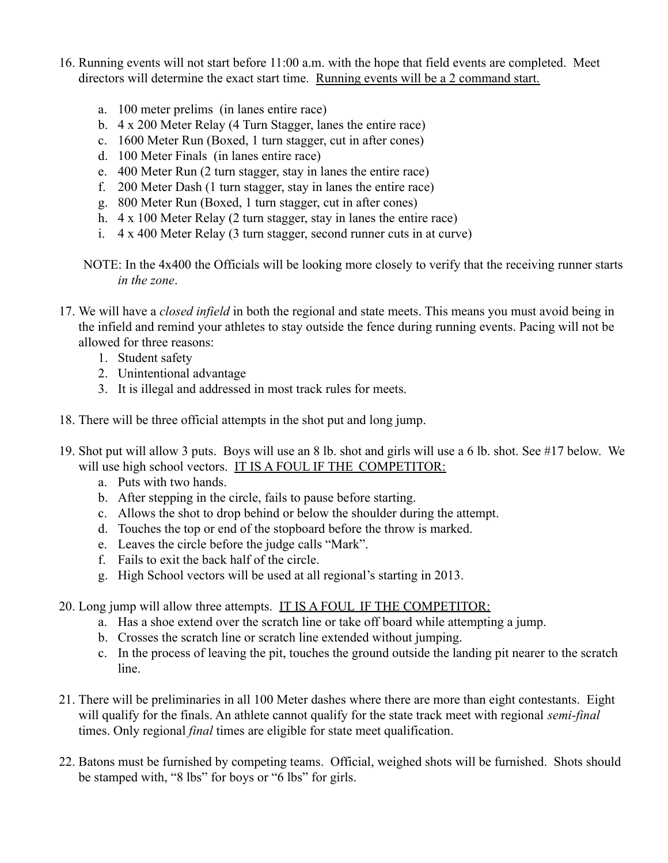- 16. Running events will not start before 11:00 a.m. with the hope that field events are completed. Meet directors will determine the exact start time. Running events will be a 2 command start.
	- a. 100 meter prelims (in lanes entire race)
	- b. 4 x 200 Meter Relay (4 Turn Stagger, lanes the entire race)
	- c. 1600 Meter Run (Boxed, 1 turn stagger, cut in after cones)
	- d. 100 Meter Finals (in lanes entire race)
	- e. 400 Meter Run (2 turn stagger, stay in lanes the entire race)
	- f. 200 Meter Dash (1 turn stagger, stay in lanes the entire race)
	- g. 800 Meter Run (Boxed, 1 turn stagger, cut in after cones)
	- h. 4 x 100 Meter Relay (2 turn stagger, stay in lanes the entire race)
	- i. 4 x 400 Meter Relay (3 turn stagger, second runner cuts in at curve)
	- NOTE: In the 4x400 the Officials will be looking more closely to verify that the receiving runner starts *in the zone*.
- 17. We will have a *closed infield* in both the regional and state meets. This means you must avoid being in the infield and remind your athletes to stay outside the fence during running events. Pacing will not be allowed for three reasons:
	- 1. Student safety
	- 2. Unintentional advantage
	- 3. It is illegal and addressed in most track rules for meets.
- 18. There will be three official attempts in the shot put and long jump.
- 19. Shot put will allow 3 puts. Boys will use an 8 lb. shot and girls will use a 6 lb. shot. See #17 below. We will use high school vectors. IT IS A FOUL IF THE COMPETITOR:
	- a. Puts with two hands.
	- b. After stepping in the circle, fails to pause before starting.
	- c. Allows the shot to drop behind or below the shoulder during the attempt.
	- d. Touches the top or end of the stopboard before the throw is marked.
	- e. Leaves the circle before the judge calls "Mark".
	- f. Fails to exit the back half of the circle.
	- g. High School vectors will be used at all regional's starting in 2013.

20. Long jump will allow three attempts. IT IS A FOUL IF THE COMPETITOR:

- a. Has a shoe extend over the scratch line or take off board while attempting a jump.
- b. Crosses the scratch line or scratch line extended without jumping.
- c. In the process of leaving the pit, touches the ground outside the landing pit nearer to the scratch line.
- 21. There will be preliminaries in all 100 Meter dashes where there are more than eight contestants. Eight will qualify for the finals. An athlete cannot qualify for the state track meet with regional *semi-final* times. Only regional *final* times are eligible for state meet qualification.
- 22. Batons must be furnished by competing teams. Official, weighed shots will be furnished. Shots should be stamped with, "8 lbs" for boys or "6 lbs" for girls.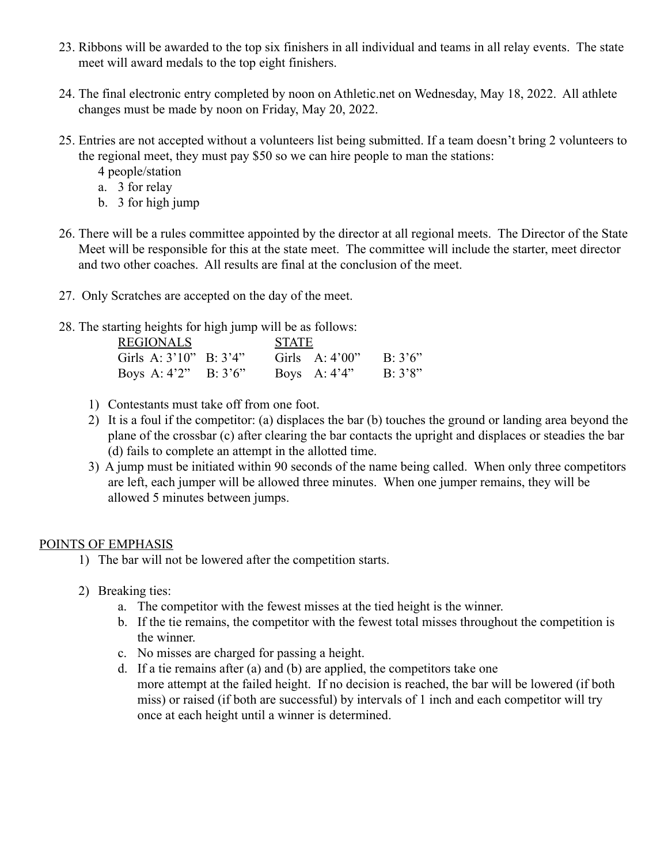- 23. Ribbons will be awarded to the top six finishers in all individual and teams in all relay events. The state meet will award medals to the top eight finishers.
- 24. The final electronic entry completed by noon on Athletic.net on Wednesday, May 18, 2022. All athlete changes must be made by noon on Friday, May 20, 2022.
- 25. Entries are not accepted without a volunteers list being submitted. If a team doesn't bring 2 volunteers to the regional meet, they must pay \$50 so we can hire people to man the stations:

4 people/station

- a. 3 for relay
- b. 3 for high jump
- 26. There will be a rules committee appointed by the director at all regional meets. The Director of the State Meet will be responsible for this at the state meet. The committee will include the starter, meet director and two other coaches. All results are final at the conclusion of the meet.
- 27. Only Scratches are accepted on the day of the meet.
- 28. The starting heights for high jump will be as follows:

| <b>REGIONALS</b>             |  | <b>STATE</b> |                  |                 |
|------------------------------|--|--------------|------------------|-----------------|
| Girls A: $3'10''$ B: $3'4''$ |  |              | Girls $A:4'00''$ | $B \cdot 3'6''$ |
| Boys A: $4'2''$ B: $3'6''$   |  |              | Boys A: $4'4''$  | B: 3'8"         |

- 1) Contestants must take off from one foot.
- 2) It is a foul if the competitor: (a) displaces the bar (b) touches the ground or landing area beyond the plane of the crossbar (c) after clearing the bar contacts the upright and displaces or steadies the bar (d) fails to complete an attempt in the allotted time.
- 3) A jump must be initiated within 90 seconds of the name being called. When only three competitors are left, each jumper will be allowed three minutes. When one jumper remains, they will be allowed 5 minutes between jumps.

# POINTS OF EMPHASIS

- 1) The bar will not be lowered after the competition starts.
- 2) Breaking ties:
	- a. The competitor with the fewest misses at the tied height is the winner.
	- b. If the tie remains, the competitor with the fewest total misses throughout the competition is the winner.
	- c. No misses are charged for passing a height.
	- d. If a tie remains after (a) and (b) are applied, the competitors take one more attempt at the failed height. If no decision is reached, the bar will be lowered (if both miss) or raised (if both are successful) by intervals of 1 inch and each competitor will try once at each height until a winner is determined.